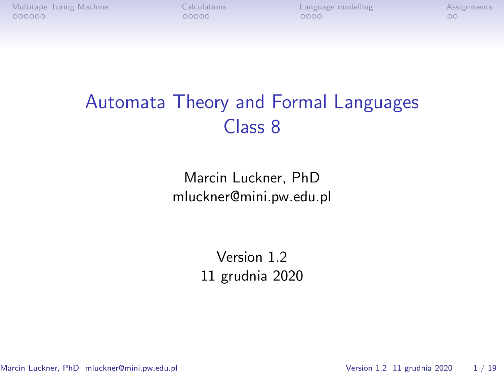[Multitape Turing Machine](#page-1-0) **[Calculations](#page-7-0)** [Language modelling](#page-12-0) [Assignments](#page-16-0)<br>  $\begin{array}{ccc}\n00000 & 0000 \\
0000 & 0000\n\end{array}$ 

# Automata Theory and Formal Languages Class 8

Marcin Luckner, PhD mluckner@mini.pw.edu.pl

> Version 1.2 11 grudnia 2020

Marcin Luckner, PhD mluckner@mini.pw.edu.pl Version 1.2 11 grudnia 2020 1/19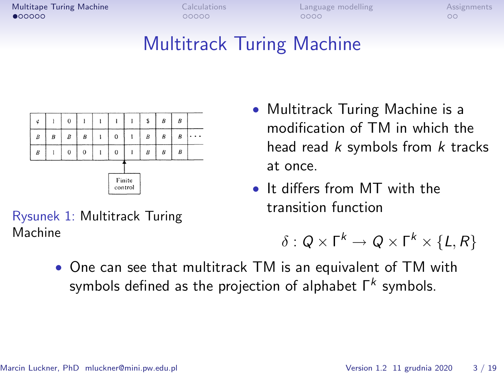<span id="page-1-0"></span>[Multitape Turing Machine](#page-1-0) [Calculations](#page-7-0) [Language modelling](#page-12-0) [Assignments](#page-16-0)

# Multitrack Turing Machine



- Multitrack Turing Machine is a modification of TM in which the head read  $k$  symbols from  $k$  tracks at once.
- It differs from MT with the transition function

$$
\delta:Q\times \mathsf{\Gamma}^k\to Q\times \mathsf{\Gamma}^k\times \{L,R\}
$$

• One can see that multitrack TM is an equivalent of TM with symbols defined as the projection of alphabet  $\mathsf{\Gamma}^k$  symbols.

Rysunek 1: Multitrack Turing Machine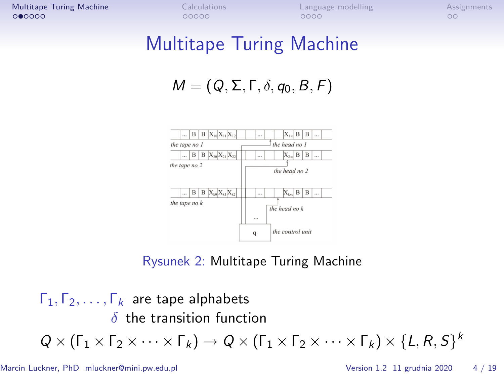[Multitape Turing Machine](#page-1-0) [Calculations](#page-7-0) [Language modelling](#page-12-0) [Assignments](#page-16-0)

#### Multitape Turing Machine

$$
M=(Q,\Sigma,\Gamma,\delta,q_0,B,F)
$$



#### Rysunek 2: Multitape Turing Machine

Γ1*,* Γ2*, . . . ,* Γ<sup>k</sup> are tape alphabets *δ* the transition function  $Q \times (\Gamma_1 \times \Gamma_2 \times \cdots \times \Gamma_k) \rightarrow Q \times (\Gamma_1 \times \Gamma_2 \times \cdots \times \Gamma_k) \times \{L, R, S\}^k$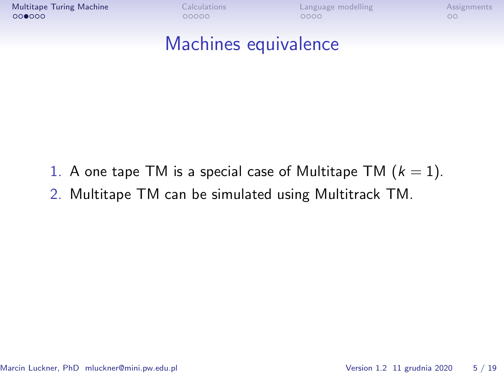[Multitape Turing Machine](#page-1-0) [Calculations](#page-7-0) [Language modelling](#page-12-0) [Assignments](#page-16-0)<br>
∴ Comprehensive Cooperations COOO COO COO COO

## Machines equivalence

- 1. A one tape TM is a special case of Multitape TM  $(k = 1)$ .
- 2. Multitape TM can be simulated using Multitrack TM.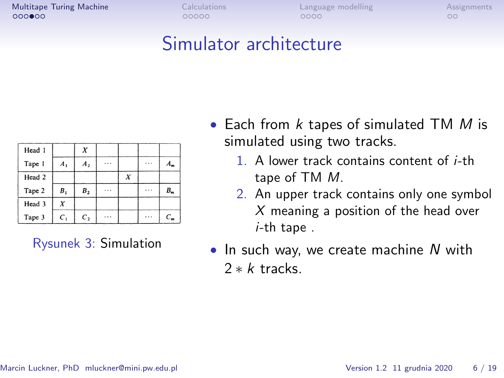**[Multitape Turing Machine](#page-1-0)** [Calculations](#page-7-0) [Language modelling](#page-12-0) [Assignments](#page-16-0)<br> **Calculations** COOOO COOO COOO COOO COO

# Simulator architecture

| Head 1 |                |                |   |   |       |
|--------|----------------|----------------|---|---|-------|
| Tape 1 | A <sub>1</sub> | A <sub>2</sub> |   |   | $A_m$ |
| Head 2 |                |                | X |   |       |
| Tape 2 | B <sub>1</sub> | B <sub>2</sub> |   | . | $B_m$ |
| Head 3 | X              |                |   |   |       |
| Tape 3 | $C_{1}$        | C <sub>2</sub> |   |   | $C_m$ |

Rysunek 3: Simulation

- Each from  $k$  tapes of simulated TM  $M$  is simulated using two tracks.
	- 1. A lower track contains content of i-th tape of TM M.
	- 2. An upper track contains only one symbol  $X$  meaning a position of the head over i-th tape .
- In such way, we create machine  $N$  with 2 *∗* k tracks.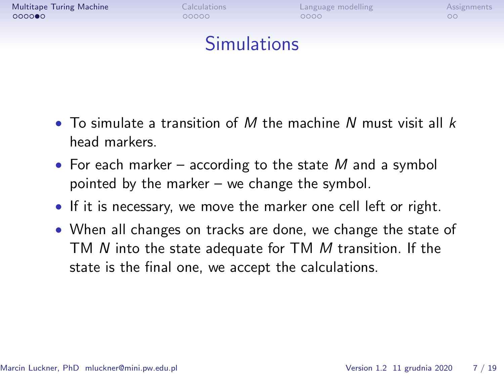

### Simulations

- To simulate a transition of M the machine N must visit all  $k$ head markers.
- For each marker according to the state  $M$  and a symbol pointed by the marker – we change the symbol.
- If it is necessary, we move the marker one cell left or right.
- When all changes on tracks are done, we change the state of TM N into the state adequate for TM M transition. If the state is the final one, we accept the calculations.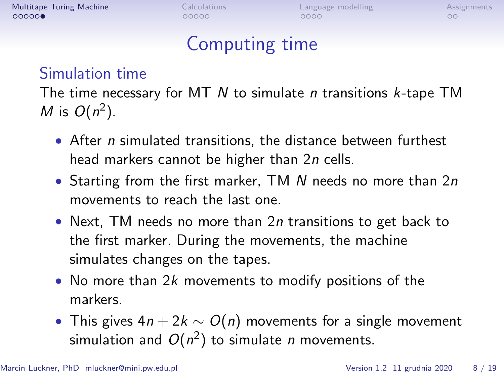| Calculations |  |
|--------------|--|
| 00000        |  |

# Computing time

#### Simulation time

The time necessary for MT  $N$  to simulate *n* transitions  $k$ -tape TM M is  $O(n^2)$ .

- After *n* simulated transitions, the distance between furthest head markers cannot be higher than 2n cells.
- Starting from the first marker, TM  $N$  needs no more than  $2n$ movements to reach the last one.
- Next, TM needs no more than 2n transitions to get back to the first marker. During the movements, the machine simulates changes on the tapes.
- No more than 2k movements to modify positions of the markers.
- This gives 4n + 2k *∼* O(n) movements for a single movement simulation and  $O(n^2)$  to simulate n movements.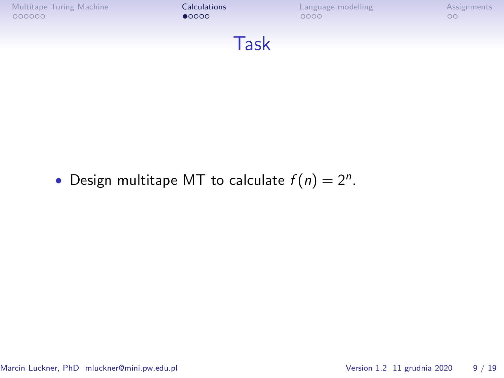<span id="page-7-0"></span>

• Design multitape MT to calculate  $f(n) = 2^n$ .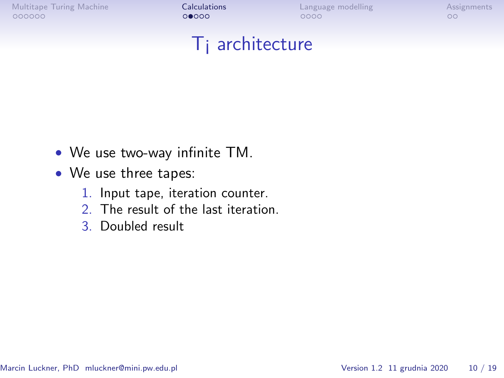[Multitape Turing Machine](#page-1-0) [Calculations](#page-7-0) [Language modelling](#page-12-0) [Assignments](#page-16-0)

#### T¡ architecture

- We use two-way infinite TM.
- We use three tapes:
	- 1. Input tape, iteration counter.
	- 2. The result of the last iteration.
	- 3. Doubled result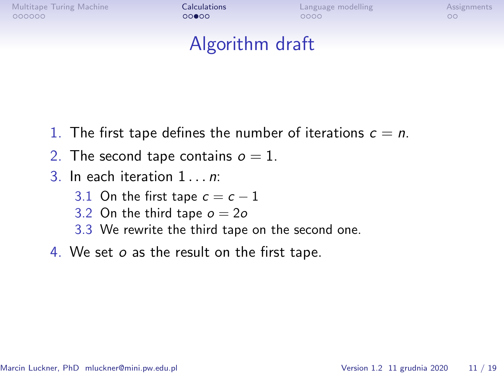[Multitape Turing Machine](#page-1-0) **[Calculations](#page-7-0)** [Language modelling](#page-12-0) [Assignments](#page-16-0)<br>  $\begin{array}{ccc}\n0.00000 & 0.0000 \\
0.00000 & 0.0000\n\end{array}$ 

### Algorithm draft

- 1. The first tape defines the number of iterations  $c = n$ .
- 2. The second tape contains  $o = 1$ .
- 3. In each iteration 1 *. . .* n:
	- 3.1 On the first tape  $c = c 1$
	- 3.2 On the third tape  $o = 2o$
	- 3.3 We rewrite the third tape on the second one.
- 4. We set o as the result on the first tape.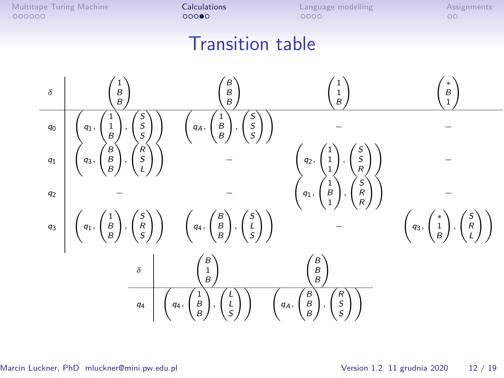[Multitape Turing Machine](#page-1-0) **[Calculations](#page-7-0)** [Language modelling](#page-12-0) [Assignments](#page-16-0)<br>  $\begin{array}{ccc}\n0 & 0 & 0 \\
0 & 0 & 0 \\
0 & 0 & 0\n\end{array}$ 

# Transition table

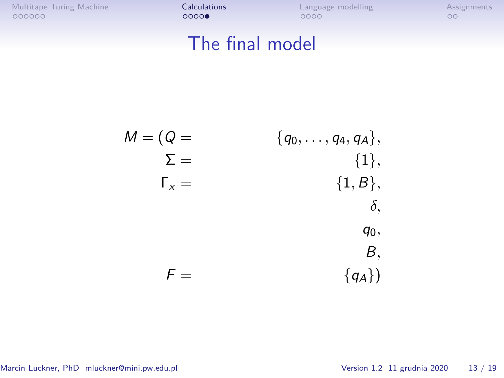[Multitape Turing Machine](#page-1-0) **[Calculations](#page-7-0)** [Language modelling](#page-12-0) [Assignments](#page-16-0)<br>  $\begin{array}{ccc}\n0 & 0 & 0 & 0 \\
0 & 0 & 0 & 0 \\
0 & 0 & 0 & 0\n\end{array}$ 

# The final model

$$
M = (Q = \sum_{\substack{\sum = \\ \Gamma_{x} =}} \{q_{0}, \ldots, q_{4}, q_{A}\},
$$
\n
$$
T_{x} = \{1, B\},
$$
\n
$$
q_{0},
$$
\n
$$
F = \{q_{A}\})
$$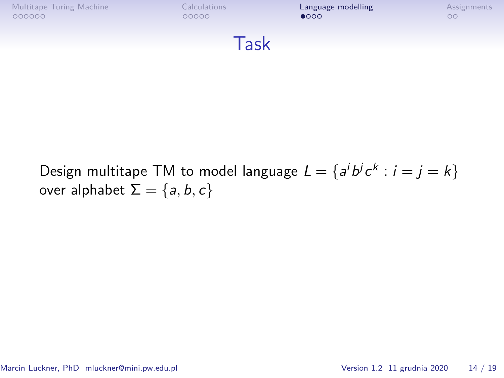<span id="page-12-0"></span>

Design multitape TM to model language  $L = \{a^i b^j c^k : i = j = k\}$ over alphabet  $\Sigma = \{a, b, c\}$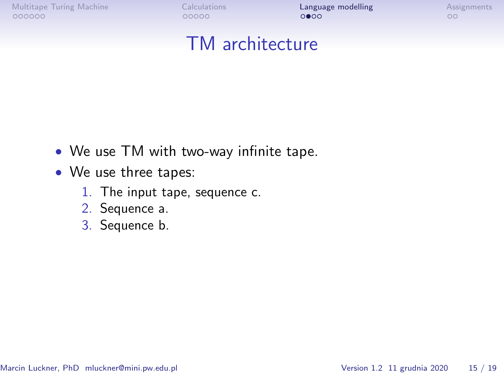[Multitape Turing Machine](#page-1-0) **[Calculations](#page-7-0)** [Language modelling](#page-12-0) [Assignments](#page-16-0)<br>  $\overrightarrow{O}$ 

# TM architecture

- We use TM with two-way infinite tape.
- We use three tapes:
	- 1. The input tape, sequence c.
	- 2. Sequence a.
	- 3. Sequence b.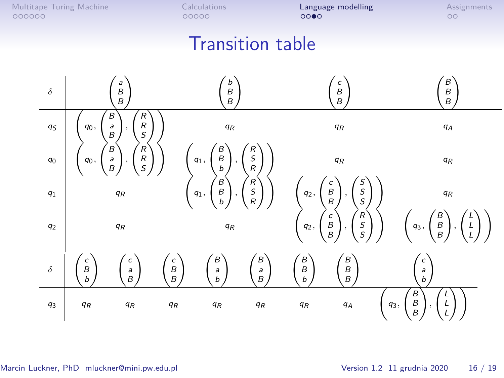[Multitape Turing Machine](#page-1-0) **[Calculations](#page-7-0)** [Language modelling](#page-12-0) [Assignments](#page-16-0)<br>  $\overrightarrow{O} = 00000$ 

# Transition table

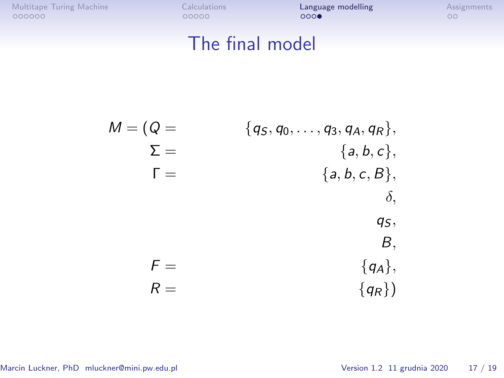| Multitape Turing Machine |  |
|--------------------------|--|
| 000000                   |  |

[Calculations](#page-7-0) **[Language modelling](#page-12-0)**<br> **Calculations COOO**<br>

<br> **COOOO**<br>

<br>
OOOOO

# The final model

M = (Q = *{*q<sup>S</sup> *,* q0*, . . . ,* q3*,* qA*,* qR*},* Σ = *{*a*,* b*,* c*},* Γ = *{*a*,* b*,* c*,* B*}, δ,* q<sup>S</sup> *,* B*,* F = *{*qA*},* R = *{*qR*}*)

Marcin Luckner, PhD mluckner@mini.pw.edu.pl Version 1.2 11 grudnia 2020 17 / 19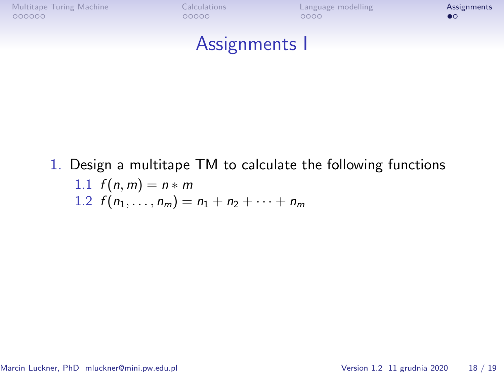<span id="page-16-0"></span>

#### Assignments I

1. Design a multitape TM to calculate the following functions 1.1  $f(n, m) = n * m$ 1.2  $f(n_1, \ldots, n_m) = n_1 + n_2 + \cdots + n_m$